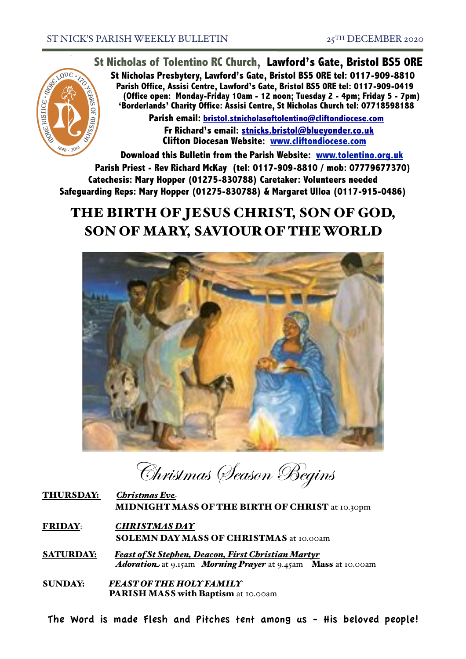

**St Nicholas of Tolentino RC Church, Lawford's Gate, Bristol BS5 0RE**

**St Nicholas Presbytery, Lawford's Gate, Bristol BS5 0RE tel: 0117-909-8810 Parish Office, Assisi Centre, Lawford's Gate, Bristol BS5 0RE tel: 0117-909-0419 (Office open: Monday-Friday 10am - 12 noon; Tuesday 2 - 4pm; Friday 5 - 7pm) 'Borderlands' Charity Office: Assisi Centre, St Nicholas Church tel: 07718598188**

> **Parish email: [bristol.stnicholasoftolentino@cliftondiocese.com](mailto:bristol.stnicholasoftolentino@cliftondiocese.com) Fr Richard's email: [stnicks.bristol@blueyonder.co.uk](mailto:stnicks.bristol@blueyonder.co.uk) Clifton Diocesan Website: [www.cliftondiocese.com](http://www.cliftondiocese.com)**

**Download this Bulletin from the Parish Website: [www.tolentino.org.uk](http://www.cliftondiocese.com) Parish Priest - Rev Richard McKay (tel: 0117-909-8810 / mob: 07779677370) Catechesis: Mary Hopper (01275-830788) Caretaker: Volunteers needed Safeguarding Reps: Mary Hopper (01275-830788) & Margaret Ulloa (0117-915-0486)**

# THE BIRTH OF JESUS CHRIST, SON OF GOD, SON OF MARY, SAVIOUR OF THE WORLD



Christmas Season Begins

| <b>THURSDAY:</b> | <b>Christmas Eve</b>                                   |
|------------------|--------------------------------------------------------|
|                  | <b>MIDNIGHT MASS OF THE BIRTH OF CHRIST</b> at 10.30pm |

FRIDAY: *CHRISTMAS DAY* SOLEMN DAY MASS OF CHRISTMAS at 10.00am

SATURDAY: *Feast of St Stephen, Deacon, First Christian Martyr Adoration* at 9.15am *Morning Prayer* at 9.45am Mass at 10.00am

SUNDAY: *FEAST OF THE HOLY FAMILY* PARISH MASS with Baptism at 10.00am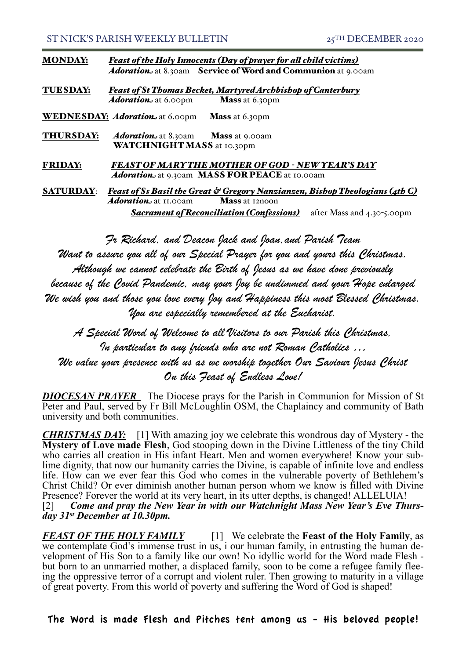| <b>MONDAY:</b> |  | <b>Feast of the Holy Innocents (Day of prayer for all child victims)</b> |
|----------------|--|--------------------------------------------------------------------------|
|                |  | <b>Adoration</b> at 8.30am Service of Word and Communion at 9.00am       |

TUESDAY: *Feast of St Thomas Becket, Martyred Archbishop of Canterbury Adoration* at 6.00pm **Mass** at 6.30pm

WEDNESDAY: *Adoration* at 6.00pm Mass at 6.30pm

THURSDAY: *Adoration* at 8.30amMass at 9.00am WATCHNIGHT MASS at 10.30pm

FRIDAY: *FEAST OF MARY THE MOTHER OF GOD - NEW YEAR'S DAY* Adoration<sub>1</sub> at 9.30am MASS FOR PEACE at 10.00am

SATURDAY: *Feast of Ss Basil the Great & Gregory Nanzianzen, Bishop Theologians (4th C)* Adoration at 11.00am Mass at 12noon *Sacrament of Reconciliation (Confessions)* after Mass and 4.30-5.00pm

*Fr Richard, and Deacon Jack and Joan,and Parish Team*

*Want to assure you all of our Special Prayer for you and yours this Christmas. Although we cannot celebrate the Birth of Jesus as we have done previously because of the Covid Pandemic, may your Joy be undimmed and your Hope enlarged We wish you and those you love every Joy and Happiness this most Blessed Christmas. You are especially remembered at the Eucharist.*

*A Special Word of Welcome to all Visitors to our Parish this Christmas, In particular to any friends who are not Roman Catholics … We value your presence with us as we worship together Our Saviour Jesus Christ On this Feast of Endless Love!*

*DIOCESAN PRAYER* The Diocese prays for the Parish in Communion for Mission of St Peter and Paul, served by Fr Bill McLoughlin OSM, the Chaplaincy and community of Bath university and both communities.

*CHRISTMAS DAY:* [1] With amazing joy we celebrate this wondrous day of Mystery - the **Mystery of Love made Flesh**, God stooping down in the Divine Littleness of the tiny Child who carries all creation in His infant Heart. Men and women everywhere! Know your sub-<br>lime dignity, that now our humanity carries the Divine, is capable of infinite love and endless life. How can we ever fear this God who comes in the vulnerable poverty of Bethlehem's Christ Child? Or ever diminish another human person whom we know is filled with Divine Presence? Forever the world at its very heart, in its utter depths, is changed! ALLELUIA! [2] *Come and pray the New Year in with our Watchnight Mass New Year's Eve Thurs- day 31st December at 10.30pm.*

*FEAST OF THE HOLY FAMILY* [1] We celebrate the **Feast of the Holy Family**, as we contemplate God's immense trust in us, i our human family, in entrusting the human development of His Son to a family like our own! No idyllic world for the Word made Flesh but born to an unmarried mother, a displaced family, soon to be come a refugee family flee- ing the oppressive terror of a corrupt and violent ruler. Then growing to maturity in a village of great poverty. From this world of poverty and suffering the Word of God is shaped!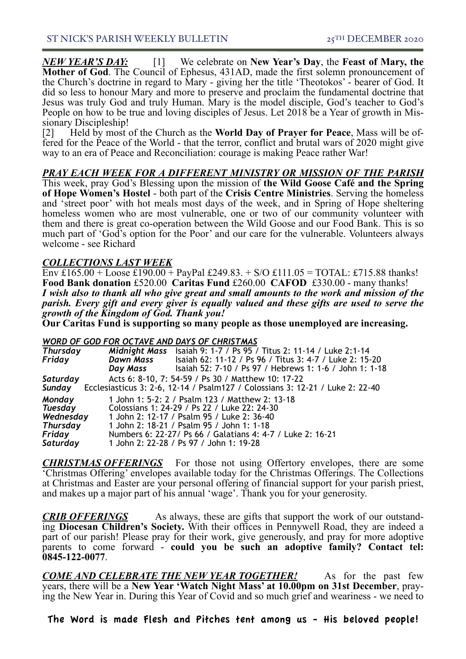*NEW YEAR'S DAY:* [1] We celebrate on **New Year's Day**, the **Feast of Mary, the Mother of God**. The Council of Ephesus, 431AD, made the first solemn pronouncement of the Church's doctrine in regard to Mary - giving her the title 'Theotokos' - bearer of God. It did so less to honour Mary and more to preserve and proclaim the fundamental doctrine that Jesus was truly God and truly Human. Mary is the model disciple, God's teacher to God's People on how to be true and loving disciples of Jesus. Let 2018 be a Year of growth in Missionary Discipleship!<br>[2] Held by most of the Church as the **World Day of Praver for Peace**. Mass will be of-

[2] Held by most of the Church as the **World Day of Prayer for Peace**, Mass will be of- fered for the Peace of the World - that the terror, conflict and brutal wars of 2020 might give way to an era of Peace and Reconciliation: courage is making Peace rather War!

## *PRAY EACH WEEK FOR A DIFFERENT MINISTRY OR MISSION OF THE PARISH*

This week, pray God's Blessing upon the mission of **the Wild Goose Café and the Spring of Hope Women's Hostel** - both part of the **Crisis Centre Ministries**. Serving the homeless and 'street poor' with hot meals most days of the week, and in Spring of Hope sheltering homeless women who are most vulnerable, one or two of our community volunteer with them and there is great co-operation between the Wild Goose and our Food Bank. This is so much part of 'God's option for the Poor' and our care for the vulnerable. Volunteers always welcome - see Richard

## *COLLECTIONS LAST WEEK*

Env £165.00 + Loose £190.00 + PayPal £249.83. + S/O £111.05 = TOTAL: £715.88 thanks! **Food Bank donation** £520.00 **Caritas Fund** £260.00 **CAFOD** £330.00 - many thanks! *I wish also to thank all who give great and small amounts to the work and mission of the parish. Every gift and every giver is equally valued and these gifts are used to serve the growth of the Kingdom of God. Thank you!* 

**Our Caritas Fund is supporting so many people as those unemployed are increasing.**

#### *WORD OF GOD FOR OCTAVE AND DAYS OF CHRISTMAS*

| <b>Thursday</b> |                  | Midnight Mass Isaiah 9: 1-7 / Ps 95 / Titus 2: 11-14 / Luke 2:1-14            |
|-----------------|------------------|-------------------------------------------------------------------------------|
| Friday          | <b>Dawn Mass</b> | Isaiah 62: 11-12 / Ps 96 / Titus 3: 4-7 / Luke 2: 15-20                       |
|                 | Day Mass         | Isaiah 52: 7-10 / Ps 97 / Hebrews 1: 1-6 / John 1: 1-18                       |
| Saturday        |                  | Acts 6: 8-10, 7: 54-59 / Ps 30 / Matthew 10: 17-22                            |
| Sunday          |                  | Ecclesiasticus 3: 2-6, 12-14 / Psalm127 / Colossians 3: 12-21 / Luke 2: 22-40 |
| Monday          |                  | 1 John 1: 5-2: 2 / Psalm 123 / Matthew 2: 13-18                               |
| <b>Tuesday</b>  |                  | Colossians 1: 24-29 / Ps 22 / Luke 22: 24-30                                  |
| Wednesday       |                  | 1 John 2: 12-17 / Psalm 95 / Luke 2: 36-40                                    |
| <b>Thursday</b> |                  | 1 John 2: 18-21 / Psalm 95 / John 1: 1-18                                     |
| Friday          |                  | Numbers 6: 22-27/ Ps 66 / Galatians 4: 4-7 / Luke 2: 16-21                    |
| Saturday        |                  | 1 John 2: 22-28 / Ps 97 / John 1: 19-28                                       |

*CHRISTMAS OFFERINGS* For those not using Offertory envelopes, there are some 'Christmas Offering' envelopes available today for the Christmas Offerings. The Collections at Christmas and Easter are your personal offering of financial support for your parish priest, and makes up a major part of his annual 'wage'. Thank you for your generosity.

*CRIB OFFERINGS* As always, these are gifts that support the work of our outstand- ing **Diocesan Children's Society.** With their offices in Pennywell Road, they are indeed a part of our parish! Please pray for their work, give generously, and pray for more adoptive parents to come forward - **could you be such an adoptive family? Contact tel: 0845-122-0077**.

*COME AND CELEBRATE THE NEW YEAR TOGETHER!* As for the past few years, there will be a New Year 'Watch Night Mass' at 10.00pm on 31st December, praying the New Year in. During this Year of Covid and so much grief and weariness - we need to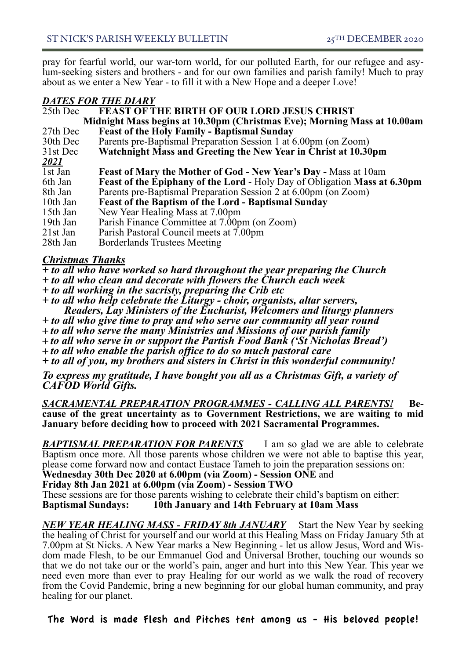pray for fearful world, our war-torn world, for our polluted Earth, for our refugee and asy- lum-seeking sisters and brothers - and for our own families and parish family! Much to pray about as we enter a New Year - to fill it with a New Hope and a deeper Love!

## *DATES FOR THE DIARY*

| 25th Dec    | <b>FEAST OF THE BIRTH OF OUR LORD JESUS CHRIST</b>                               |
|-------------|----------------------------------------------------------------------------------|
|             | Midnight Mass begins at 10.30pm (Christmas Eve); Morning Mass at 10.00am         |
| 27th Dec    | <b>Feast of the Holy Family - Baptismal Sunday</b>                               |
| 30th Dec    | Parents pre-Baptismal Preparation Session 1 at 6.00pm (on Zoom)                  |
| 31st Dec    | Watchnight Mass and Greeting the New Year in Christ at 10.30pm                   |
| <u>2021</u> |                                                                                  |
| 1st Jan     | <b>Feast of Mary the Mother of God - New Year's Day - Mass at 10am</b>           |
| 6th Jan     | <b>Feast of the Epiphany of the Lord - Holy Day of Obligation Mass at 6.30pm</b> |
| 8th Jan     | Parents pre-Baptismal Preparation Session 2 at 6.00pm (on Zoom)                  |
| 10th Jan    | <b>Feast of the Baptism of the Lord - Baptismal Sunday</b>                       |
| 15th Jan    | New Year Healing Mass at 7.00pm                                                  |
| 19th Jan    | Parish Finance Committee at 7.00pm (on Zoom)                                     |
| $21st$ Jan  | Parish Pastoral Council meets at 7.00pm                                          |
| 28th Jan    | <b>Borderlands Trustees Meeting</b>                                              |
|             |                                                                                  |

# *Christmas Thanks*

- *+ to all who have worked so hard throughout the year preparing the Church*
- *+ to all who clean and decorate with flowers the Church each week*
- *+ to all working in the sacristy, preparing the Crib etc*
- *+ to all who help celebrate the Liturgy choir, organists, altar servers, Readers, Lay Ministers of the Eucharist, Welcomers and liturgy planners*
- *+ to all who give time to pray and who serve our community all year round*
- **+** *to all who serve the many Ministries and Missions of our parish family*
- **+** *to all who serve in or support the Partish Food Bank ('St Nicholas Bread')*
- **+** *to all who enable the parish office to do so much pastoral care*
- *+ to all of you, my brothers and sisters in Christ in this wonderful community!*

*To express my gratitude, I have bought you all as a Christmas Gift, a variety of CAFOD World Gifts.* 

*SACRAMENTAL PREPARATION PROGRAMMES - CALLING ALL PARENTS!* **Be- cause of the great uncertainty as to Government Restrictions, we are waiting to mid January before deciding how to proceed with 2021 Sacramental Programmes.**

*BAPTISMAL PREPARATION FOR PARENTS* I am so glad we are able to celebrate Baptism once more. All those parents whose children we were not able to baptise this year, please come forward now and contact Eustace Tameh to join the preparation sessions on:

**Wednesday 30th Dec 2020 at 6.00pm (via Zoom) - Session ONE** and

**Friday 8th Jan 2021 at 6.00pm (via Zoom) - Session TWO**

These sessions are for those parents wishing to celebrate their child's baptism on either: **Baptismal Sundays: 10th January and 14th February at 10am Mass** 

*NEW YEAR HEALING MASS - FRIDAY 8th JANUARY* Start the New Year by seeking the healing of Christ for yourself and our world at this Healing Mass on Friday January 5th at 7.00pm at St Nicks. A New Year marks a New Beginning - let us allow Jesus, Word and Wis- dom made Flesh, to be our Emmanuel God and Universal Brother, touching our wounds so that we do not take our or the world's pain, anger and hurt into this New Year. This year we need even more than ever to pray Healing for our world as we walk the road of recovery from the Covid Pandemic, bring a new beginning for our global human community, and pray healing for our planet.